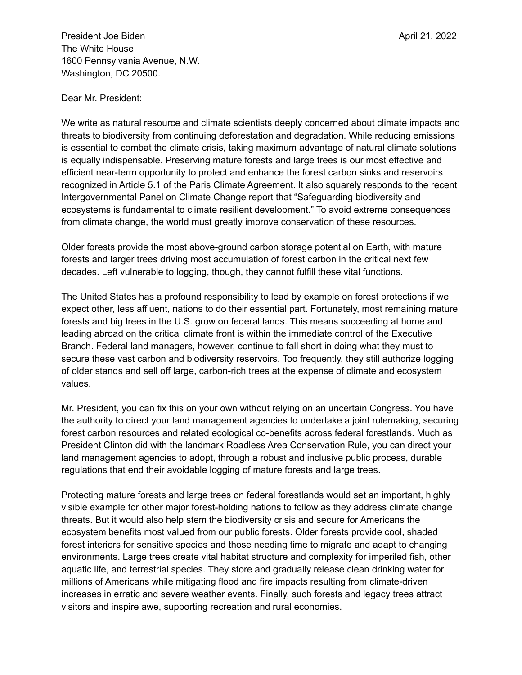## Dear Mr. President:

We write as natural resource and climate scientists deeply concerned about climate impacts and threats to biodiversity from continuing deforestation and degradation. While reducing emissions is essential to combat the climate crisis, taking maximum advantage of natural climate solutions is equally indispensable. Preserving mature forests and large trees is our most effective and efficient near-term opportunity to protect and enhance the forest carbon sinks and reservoirs recognized in Article 5.1 of the Paris Climate Agreement. It also squarely responds to the recent Intergovernmental Panel on Climate Change report that "Safeguarding biodiversity and ecosystems is fundamental to climate resilient development." To avoid extreme consequences from climate change, the world must greatly improve conservation of these resources.

Older forests provide the most above-ground carbon storage potential on Earth, with mature forests and larger trees driving most accumulation of forest carbon in the critical next few decades. Left vulnerable to logging, though, they cannot fulfill these vital functions.

The United States has a profound responsibility to lead by example on forest protections if we expect other, less affluent, nations to do their essential part. Fortunately, most remaining mature forests and big trees in the U.S. grow on federal lands. This means succeeding at home and leading abroad on the critical climate front is within the immediate control of the Executive Branch. Federal land managers, however, continue to fall short in doing what they must to secure these vast carbon and biodiversity reservoirs. Too frequently, they still authorize logging of older stands and sell off large, carbon-rich trees at the expense of climate and ecosystem values.

Mr. President, you can fix this on your own without relying on an uncertain Congress. You have the authority to direct your land management agencies to undertake a joint rulemaking, securing forest carbon resources and related ecological co-benefits across federal forestlands. Much as President Clinton did with the landmark Roadless Area Conservation Rule, you can direct your land management agencies to adopt, through a robust and inclusive public process, durable regulations that end their avoidable logging of mature forests and large trees.

Protecting mature forests and large trees on federal forestlands would set an important, highly visible example for other major forest-holding nations to follow as they address climate change threats. But it would also help stem the biodiversity crisis and secure for Americans the ecosystem benefits most valued from our public forests. Older forests provide cool, shaded forest interiors for sensitive species and those needing time to migrate and adapt to changing environments. Large trees create vital habitat structure and complexity for imperiled fish, other aquatic life, and terrestrial species. They store and gradually release clean drinking water for millions of Americans while mitigating flood and fire impacts resulting from climate-driven increases in erratic and severe weather events. Finally, such forests and legacy trees attract visitors and inspire awe, supporting recreation and rural economies.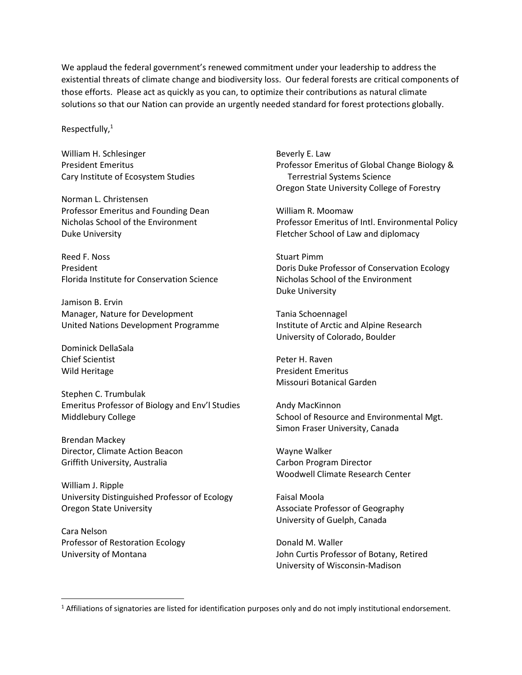We applaud the federal government's renewed commitment under your leadership to address the existential threats of climate change and biodiversity loss. Our federal forests are critical components of those efforts. Please act as quickly as you can, to optimize their contributions as natural climate solutions so that our Nation can provide an urgently needed standard for forest protections globally.

Respectfully,<sup>1</sup>

William H. Schlesinger President Emeritus Cary Institute of Ecosystem Studies

Norman L. Christensen Professor Emeritus and Founding Dean Nicholas School of the Environment Duke University

Reed F. Noss President Florida Institute for Conservation Science

Jamison B. Ervin Manager, Nature for Development United Nations Development Programme

Dominick DellaSala Chief Scientist Wild Heritage

Stephen C. Trumbulak Emeritus Professor of Biology and Env'l Studies Middlebury College

Brendan Mackey Director, Climate Action Beacon Griffith University, Australia

William J. Ripple University Distinguished Professor of Ecology Oregon State University

Cara Nelson Professor of Restoration Ecology University of Montana

Beverly E. Law Professor Emeritus of Global Change Biology & Terrestrial Systems Science Oregon State University College of Forestry

William R. Moomaw Professor Emeritus of Intl. Environmental Policy Fletcher School of Law and diplomacy

Stuart Pimm Doris Duke Professor of Conservation Ecology Nicholas School of the Environment Duke University

Tania Schoennagel Institute of Arctic and Alpine Research University of Colorado, Boulder

Peter H. Raven President Emeritus Missouri Botanical Garden

Andy MacKinnon School of Resource and Environmental Mgt. Simon Fraser University, Canada

Wayne Walker Carbon Program Director Woodwell Climate Research Center

Faisal Moola Associate Professor of Geography University of Guelph, Canada

Donald M. Waller John Curtis Professor of Botany, Retired University of Wisconsin-Madison

<sup>&</sup>lt;sup>1</sup> Affiliations of signatories are listed for identification purposes only and do not imply institutional endorsement.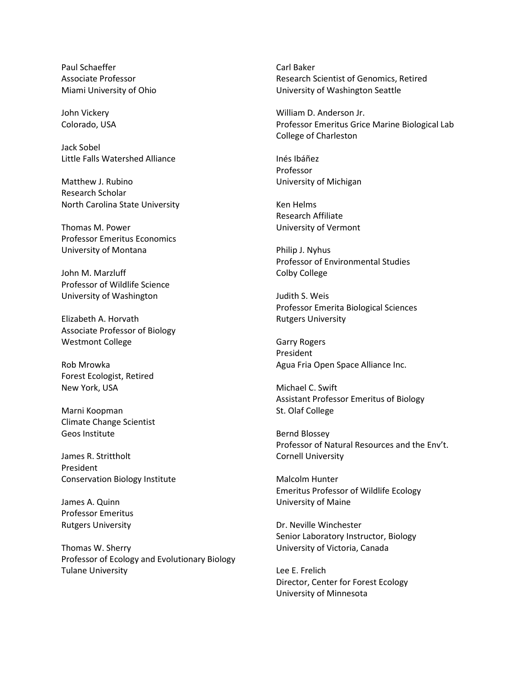Paul Schaeffer Associate Professor Miami University of Ohio

John Vickery Colorado, USA

Jack Sobel Little Falls Watershed Alliance

Matthew J. Rubino Research Scholar North Carolina State University

Thomas M. Power Professor Emeritus Economics University of Montana

John M. Marzluff Professor of Wildlife Science University of Washington

Elizabeth A. Horvath Associate Professor of Biology Westmont College

Rob Mrowka Forest Ecologist, Retired New York, USA

Marni Koopman Climate Change Scientist Geos Institute

James R. Strittholt President Conservation Biology Institute

James A. Quinn Professor Emeritus Rutgers University

Thomas W. Sherry Professor of Ecology and Evolutionary Biology Tulane University

Carl Baker Research Scientist of Genomics, Retired University of Washington Seattle

William D. Anderson Jr. Professor Emeritus Grice Marine Biological Lab College of Charleston

Inés Ibáñez Professor University of Michigan

Ken Helms Research Affiliate University of Vermont

Philip J. Nyhus Professor of Environmental Studies Colby College

Judith S. Weis Professor Emerita Biological Sciences Rutgers University

Garry Rogers President Agua Fria Open Space Alliance Inc.

Michael C. Swift Assistant Professor Emeritus of Biology St. Olaf College

Bernd Blossey Professor of Natural Resources and the Env't. Cornell University

Malcolm Hunter Emeritus Professor of Wildlife Ecology University of Maine

Dr. Neville Winchester Senior Laboratory Instructor, Biology University of Victoria, Canada

Lee E. Frelich Director, Center for Forest Ecology University of Minnesota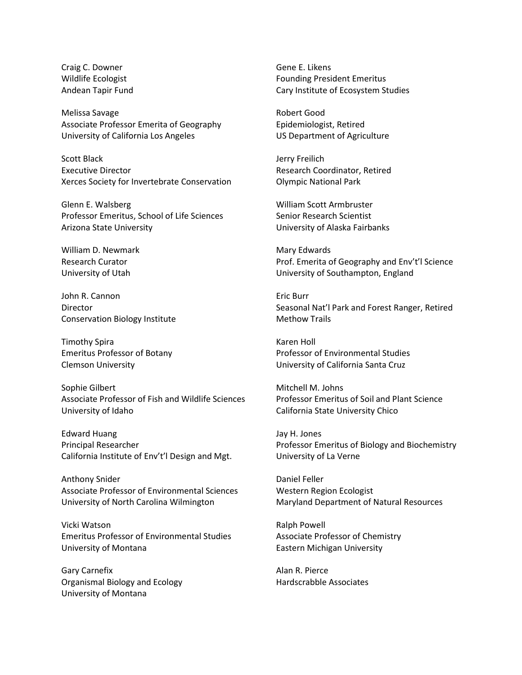Craig C. Downer Wildlife Ecologist Andean Tapir Fund

Melissa Savage Associate Professor Emerita of Geography University of California Los Angeles

Scott Black Executive Director Xerces Society for Invertebrate Conservation

Glenn E. Walsberg Professor Emeritus, School of Life Sciences Arizona State University

William D. Newmark Research Curator University of Utah

John R. Cannon Director Conservation Biology Institute

Timothy Spira Emeritus Professor of Botany Clemson University

Sophie Gilbert Associate Professor of Fish and Wildlife Sciences University of Idaho

Edward Huang Principal Researcher California Institute of Env't'l Design and Mgt.

Anthony Snider Associate Professor of Environmental Sciences University of North Carolina Wilmington

Vicki Watson Emeritus Professor of Environmental Studies University of Montana

Gary Carnefix Organismal Biology and Ecology University of Montana

Gene E. Likens Founding President Emeritus Cary Institute of Ecosystem Studies

Robert Good Epidemiologist, Retired US Department of Agriculture

Jerry Freilich Research Coordinator, Retired Olympic National Park

William Scott Armbruster Senior Research Scientist University of Alaska Fairbanks

Mary Edwards Prof. Emerita of Geography and Env't'l Science University of Southampton, England

Eric Burr Seasonal Nat'l Park and Forest Ranger, Retired Methow Trails

Karen Holl Professor of Environmental Studies University of California Santa Cruz

Mitchell M. Johns Professor Emeritus of Soil and Plant Science California State University Chico

Jay H. Jones Professor Emeritus of Biology and Biochemistry University of La Verne

Daniel Feller Western Region Ecologist Maryland Department of Natural Resources

Ralph Powell Associate Professor of Chemistry Eastern Michigan University

Alan R. Pierce Hardscrabble Associates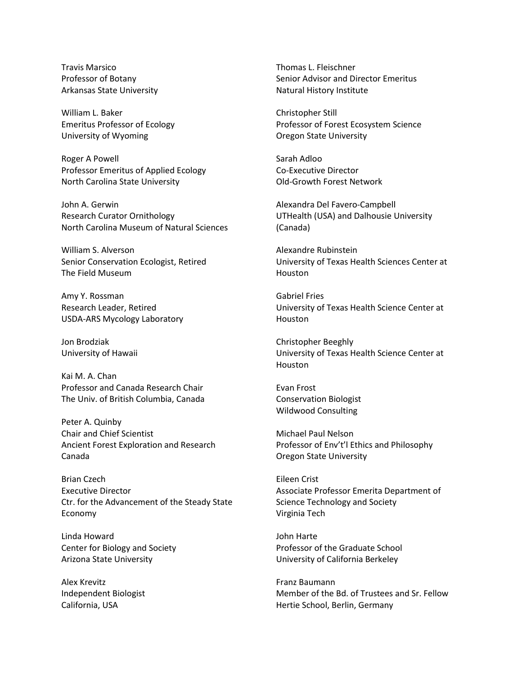Travis Marsico Professor of Botany Arkansas State University

William L. Baker Emeritus Professor of Ecology University of Wyoming

Roger A Powell Professor Emeritus of Applied Ecology North Carolina State University

John A. Gerwin Research Curator Ornithology North Carolina Museum of Natural Sciences

William S. Alverson Senior Conservation Ecologist, Retired The Field Museum

Amy Y. Rossman Research Leader, Retired USDA-ARS Mycology Laboratory

Jon Brodziak University of Hawaii

Kai M. A. Chan Professor and Canada Research Chair The Univ. of British Columbia, Canada

Peter A. Quinby Chair and Chief Scientist Ancient Forest Exploration and Research Canada

Brian Czech Executive Director Ctr. for the Advancement of the Steady State Economy

Linda Howard Center for Biology and Society Arizona State University

Alex Krevitz Independent Biologist California, USA

Thomas L. Fleischner Senior Advisor and Director Emeritus Natural History Institute

Christopher Still Professor of Forest Ecosystem Science Oregon State University

Sarah Adloo Co-Executive Director Old-Growth Forest Network

Alexandra Del Favero-Campbell UTHealth (USA) and Dalhousie University (Canada)

Alexandre Rubinstein University of Texas Health Sciences Center at Houston

Gabriel Fries University of Texas Health Science Center at **Houston** 

Christopher Beeghly University of Texas Health Science Center at Houston

Evan Frost Conservation Biologist Wildwood Consulting

Michael Paul Nelson Professor of Env't'l Ethics and Philosophy Oregon State University

Eileen Crist Associate Professor Emerita Department of Science Technology and Society Virginia Tech

John Harte Professor of the Graduate School University of California Berkeley

Franz Baumann Member of the Bd. of Trustees and Sr. Fellow Hertie School, Berlin, Germany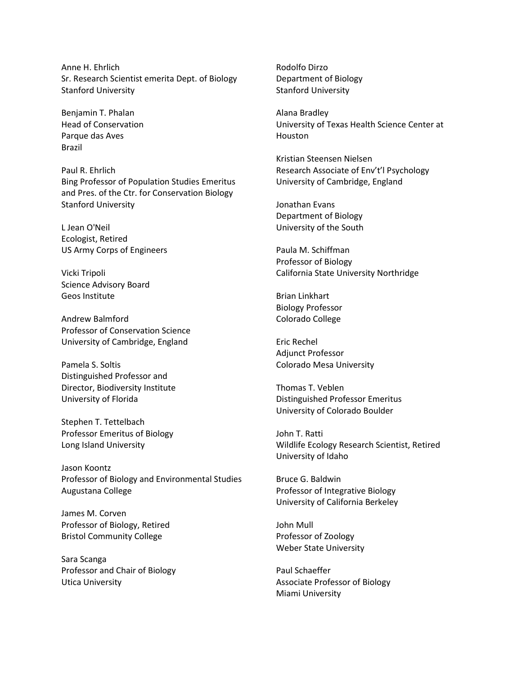Anne H. Ehrlich Sr. Research Scientist emerita Dept. of Biology Stanford University

Benjamin T. Phalan Head of Conservation Parque das Aves Brazil

Paul R. Ehrlich Bing Professor of Population Studies Emeritus and Pres. of the Ctr. for Conservation Biology Stanford University

L Jean O'Neil Ecologist, Retired US Army Corps of Engineers

Vicki Tripoli Science Advisory Board Geos Institute

Andrew Balmford Professor of Conservation Science University of Cambridge, England

Pamela S. Soltis Distinguished Professor and Director, Biodiversity Institute University of Florida

Stephen T. Tettelbach Professor Emeritus of Biology Long Island University

Jason Koontz Professor of Biology and Environmental Studies Augustana College

James M. Corven Professor of Biology, Retired Bristol Community College

Sara Scanga Professor and Chair of Biology Utica University

Rodolfo Dirzo Department of Biology Stanford University

Alana Bradley University of Texas Health Science Center at Houston

Kristian Steensen Nielsen Research Associate of Env't'l Psychology University of Cambridge, England

Jonathan Evans Department of Biology University of the South

Paula M. Schiffman Professor of Biology California State University Northridge

Brian Linkhart Biology Professor Colorado College

Eric Rechel Adjunct Professor Colorado Mesa University

Thomas T. Veblen Distinguished Professor Emeritus University of Colorado Boulder

John T. Ratti Wildlife Ecology Research Scientist, Retired University of Idaho

Bruce G. Baldwin Professor of Integrative Biology University of California Berkeley

John Mull Professor of Zoology Weber State University

Paul Schaeffer Associate Professor of Biology Miami University